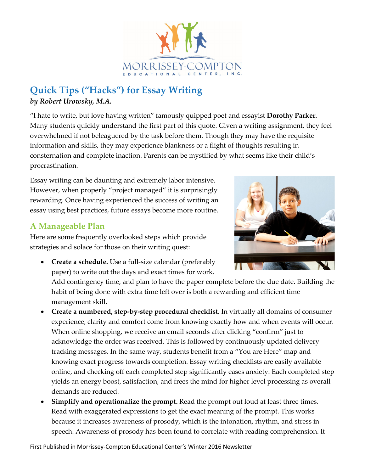

## **Quick Tips ("Hacks") for Essay Writing** *by Robert Urowsky, M.A.*

"I hate to write, but love having written" famously quipped poet and essayist **Dorothy Parker.** Many students quickly understand the first part of this quote. Given a writing assignment, they feel overwhelmed if not beleaguered by the task before them. Though they may have the requisite information and skills, they may experience blankness or a flight of thoughts resulting in consternation and complete inaction. Parents can be mystified by what seems like their child's procrastination.

Essay writing can be daunting and extremely labor intensive. However, when properly "project managed" it is surprisingly rewarding. Once having experienced the success of writing an essay using best practices, future essays become more routine.

## **A Manageable Plan**

Here are some frequently overlooked steps which provide strategies and solace for those on their writing quest:

• **Create a schedule.** Use a full-size calendar (preferably paper) to write out the days and exact times for work.

Add contingency time, and plan to have the paper complete before the due date. Building the habit of being done with extra time left over is both a rewarding and efficient time management skill.

- **Create a numbered, step-by-step procedural checklist.** In virtually all domains of consumer experience, clarity and comfort come from knowing exactly how and when events will occur. When online shopping, we receive an email seconds after clicking "confirm" just to acknowledge the order was received. This is followed by continuously updated delivery tracking messages. In the same way, students benefit from a "You are Here" map and knowing exact progress towards completion. Essay writing checklists are easily available online, and checking off each completed step significantly eases anxiety. Each completed step yields an energy boost, satisfaction, and frees the mind for higher level processing as overall demands are reduced.
- **Simplify and operationalize the prompt.** Read the prompt out loud at least three times. Read with exaggerated expressions to get the exact meaning of the prompt. This works because it increases awareness of prosody, which is the intonation, rhythm, and stress in speech. Awareness of prosody has been found to correlate with reading comprehension. It